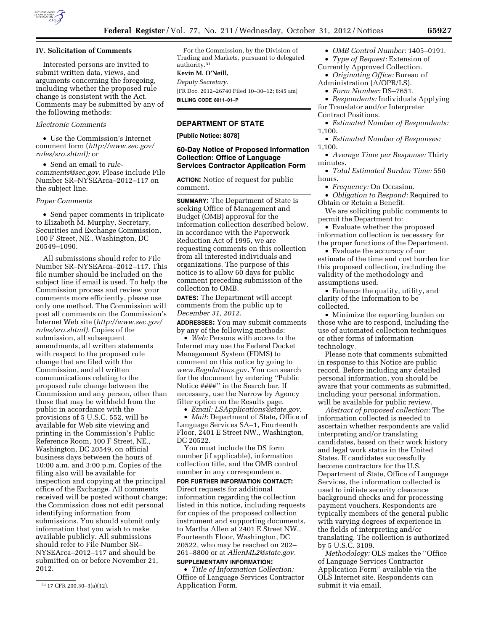

## **IV. Solicitation of Comments**

Interested persons are invited to submit written data, views, and arguments concerning the foregoing, including whether the proposed rule change is consistent with the Act. Comments may be submitted by any of the following methods:

#### *Electronic Comments*

• Use the Commission's Internet comment form (*[http://www.sec.gov/](http://www.sec.gov/rules/sro.shtml)  [rules/sro.shtml\);](http://www.sec.gov/rules/sro.shtml)* or

• Send an email to *[rule](mailto:rule-comments@sec.gov)[comments@sec.gov.](mailto:rule-comments@sec.gov)* Please include File Number SR–NYSEArca–2012–117 on the subject line.

#### *Paper Comments*

• Send paper comments in triplicate to Elizabeth M. Murphy, Secretary, Securities and Exchange Commission, 100 F Street, NE., Washington, DC 20549–1090.

All submissions should refer to File Number SR–NYSEArca–2012–117. This file number should be included on the subject line if email is used. To help the Commission process and review your comments more efficiently, please use only one method. The Commission will post all comments on the Commission's Internet Web site (*[http://www.sec.gov/](http://www.sec.gov/rules/sro.shtml)  [rules/sro.shtml\).](http://www.sec.gov/rules/sro.shtml)* Copies of the submission, all subsequent amendments, all written statements with respect to the proposed rule change that are filed with the Commission, and all written communications relating to the proposed rule change between the Commission and any person, other than those that may be withheld from the public in accordance with the provisions of 5 U.S.C. 552, will be available for Web site viewing and printing in the Commission's Public Reference Room, 100 F Street, NE., Washington, DC 20549, on official business days between the hours of 10:00 a.m. and 3:00 p.m. Copies of the filing also will be available for inspection and copying at the principal office of the Exchange. All comments received will be posted without change; the Commission does not edit personal identifying information from submissions. You should submit only information that you wish to make available publicly. All submissions should refer to File Number SR– NYSEArca–2012–117 and should be submitted on or before November 21, 2012.

For the Commission, by the Division of Trading and Markets, pursuant to delegated authority.31

#### **Kevin M. O'Neill,**

*Deputy Secretary.*  [FR Doc. 2012–26740 Filed 10–30–12; 8:45 am] **BILLING CODE 8011–01–P** 

# **DEPARTMENT OF STATE**

**[Public Notice: 8078]** 

# **60-Day Notice of Proposed Information Collection: Office of Language Services Contractor Application Form**

**ACTION:** Notice of request for public comment.

**SUMMARY:** The Department of State is seeking Office of Management and Budget (OMB) approval for the information collection described below. In accordance with the Paperwork Reduction Act of 1995, we are requesting comments on this collection from all interested individuals and organizations. The purpose of this notice is to allow 60 days for public comment preceding submission of the collection to OMB.

**DATES:** The Department will accept comments from the public up to *December 31, 2012.* 

**ADDRESSES:** You may submit comments by any of the following methods:

• *Web:* Persons with access to the Internet may use the Federal Docket Management System (FDMS) to comment on this notice by going to *[www.Regulations.gov.](http://www.Regulations.gov)* You can search for the document by entering ''Public Notice ####'' in the Search bar. If necessary, use the Narrow by Agency filter option on the Results page.

• *Email: [LSApplications@state.gov.](mailto:LSApplications@state.gov)* 

• *Mail:* Department of State, Office of Language Services SA–1, Fourteenth Floor, 2401 E Street NW., Washington, DC 20522.

You must include the DS form number (if applicable), information collection title, and the OMB control number in any correspondence.

**FOR FURTHER INFORMATION CONTACT:**  Direct requests for additional information regarding the collection listed in this notice, including requests for copies of the proposed collection instrument and supporting documents, to Martha Allen at 2401 E Street NW., Fourteenth Floor, Washington, DC 20522, who may be reached on 202– 261–8800 or at *[AllenML2@state.gov.](mailto:AllenML2@state.gov)* 

#### **SUPPLEMENTARY INFORMATION:**

• *Title of Information Collection:*  Office of Language Services Contractor Application Form.

• *OMB Control Number:* 1405–0191.

• *Type of Request:* Extension of Currently Approved Collection.

• *Originating Office:* Bureau of

Administration (A/OPR/LS).

• *Form Number:* DS–7651.

• *Respondents:* Individuals Applying for Translator and/or Interpreter Contract Positions.

• *Estimated Number of Respondents:*  1,100.

• *Estimated Number of Responses:*  1,100.

• *Average Time per Response:* Thirty minutes.

• *Total Estimated Burden Time:* 550 hours.

• *Frequency:* On Occasion.

• *Obligation to Respond:* Required to Obtain or Retain a Benefit.

We are soliciting public comments to permit the Department to:

• Evaluate whether the proposed information collection is necessary for the proper functions of the Department.

• Evaluate the accuracy of our estimate of the time and cost burden for this proposed collection, including the validity of the methodology and assumptions used.

• Enhance the quality, utility, and clarity of the information to be collected.

• Minimize the reporting burden on those who are to respond, including the use of automated collection techniques or other forms of information technology.

Please note that comments submitted in response to this Notice are public record. Before including any detailed personal information, you should be aware that your comments as submitted, including your personal information, will be available for public review.

*Abstract of proposed collection:* The information collected is needed to ascertain whether respondents are valid interpreting and/or translating candidates, based on their work history and legal work status in the United States. If candidates successfully become contractors for the U.S. Department of State, Office of Language Services, the information collected is used to initiate security clearance background checks and for processing payment vouchers. Respondents are typically members of the general public with varying degrees of experience in the fields of interpreting and/or translating. The collection is authorized by 5 U.S.C. 3109.

*Methodology:* OLS makes the ''Office of Language Services Contractor Application Form'' available via the OLS Internet site. Respondents can submit it via email.

<sup>31</sup> 17 CFR 200.30–3(a)(12).